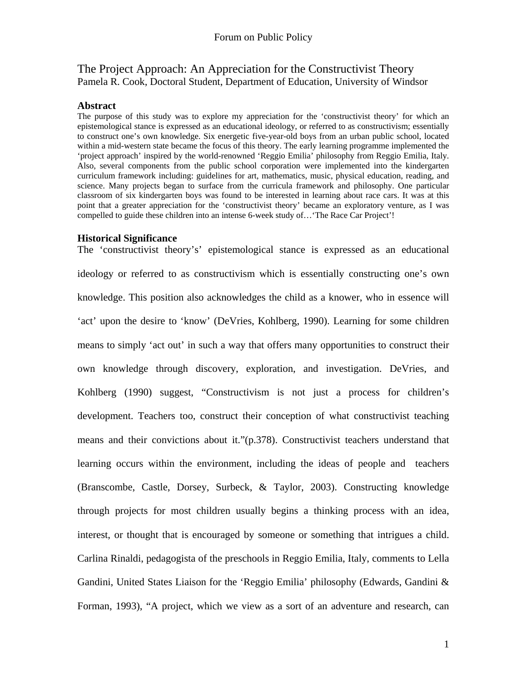The Project Approach: An Appreciation for the Constructivist Theory Pamela R. Cook, Doctoral Student, Department of Education, University of Windsor

#### **Abstract**

The purpose of this study was to explore my appreciation for the 'constructivist theory' for which an epistemological stance is expressed as an educational ideology, or referred to as constructivism; essentially to construct one's own knowledge. Six energetic five-year-old boys from an urban public school, located within a mid-western state became the focus of this theory. The early learning programme implemented the 'project approach' inspired by the world-renowned 'Reggio Emilia' philosophy from Reggio Emilia, Italy. Also, several components from the public school corporation were implemented into the kindergarten curriculum framework including: guidelines for art, mathematics, music, physical education, reading, and science. Many projects began to surface from the curricula framework and philosophy. One particular classroom of six kindergarten boys was found to be interested in learning about race cars. It was at this point that a greater appreciation for the 'constructivist theory' became an exploratory venture, as I was compelled to guide these children into an intense 6-week study of…'The Race Car Project'!

#### **Historical Significance**

The 'constructivist theory's' epistemological stance is expressed as an educational ideology or referred to as constructivism which is essentially constructing one's own knowledge. This position also acknowledges the child as a knower, who in essence will 'act' upon the desire to 'know' (DeVries, Kohlberg, 1990). Learning for some children means to simply 'act out' in such a way that offers many opportunities to construct their own knowledge through discovery, exploration, and investigation. DeVries, and Kohlberg (1990) suggest, "Constructivism is not just a process for children's development. Teachers too, construct their conception of what constructivist teaching means and their convictions about it."(p.378). Constructivist teachers understand that learning occurs within the environment, including the ideas of people and teachers (Branscombe, Castle, Dorsey, Surbeck, & Taylor, 2003). Constructing knowledge through projects for most children usually begins a thinking process with an idea, interest, or thought that is encouraged by someone or something that intrigues a child. Carlina Rinaldi, pedagogista of the preschools in Reggio Emilia, Italy, comments to Lella Gandini, United States Liaison for the 'Reggio Emilia' philosophy (Edwards, Gandini & Forman, 1993), "A project, which we view as a sort of an adventure and research, can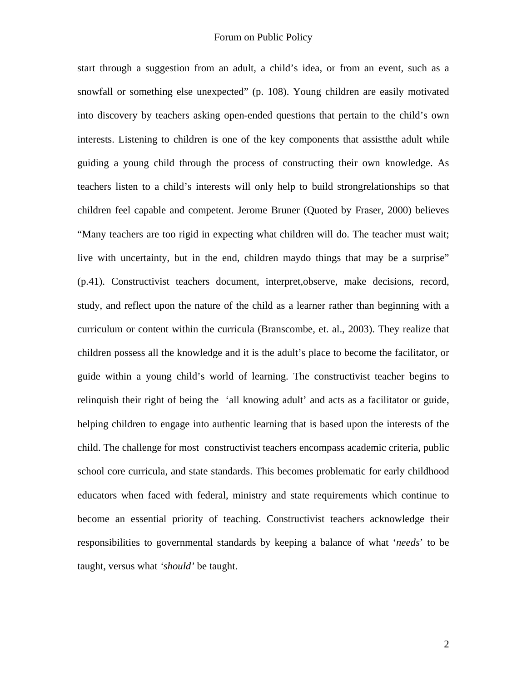start through a suggestion from an adult, a child's idea, or from an event, such as a snowfall or something else unexpected" (p. 108). Young children are easily motivated into discovery by teachers asking open-ended questions that pertain to the child's own interests. Listening to children is one of the key components that assistthe adult while guiding a young child through the process of constructing their own knowledge. As teachers listen to a child's interests will only help to build strongrelationships so that children feel capable and competent. Jerome Bruner (Quoted by Fraser, 2000) believes "Many teachers are too rigid in expecting what children will do. The teacher must wait; live with uncertainty, but in the end, children maydo things that may be a surprise" (p.41). Constructivist teachers document, interpret,observe, make decisions, record, study, and reflect upon the nature of the child as a learner rather than beginning with a curriculum or content within the curricula (Branscombe, et. al., 2003). They realize that children possess all the knowledge and it is the adult's place to become the facilitator, or guide within a young child's world of learning. The constructivist teacher begins to relinquish their right of being the 'all knowing adult' and acts as a facilitator or guide, helping children to engage into authentic learning that is based upon the interests of the child. The challenge for most constructivist teachers encompass academic criteria, public school core curricula, and state standards. This becomes problematic for early childhood educators when faced with federal, ministry and state requirements which continue to become an essential priority of teaching. Constructivist teachers acknowledge their responsibilities to governmental standards by keeping a balance of what '*needs*' to be taught, versus what *'should'* be taught.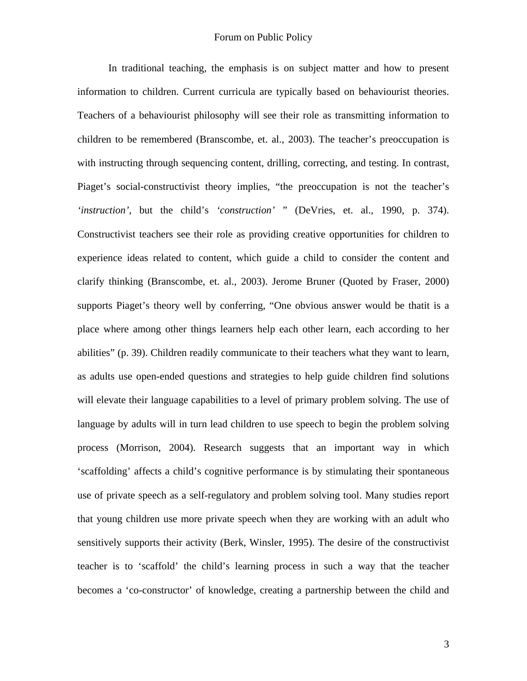In traditional teaching, the emphasis is on subject matter and how to present information to children. Current curricula are typically based on behaviourist theories. Teachers of a behaviourist philosophy will see their role as transmitting information to children to be remembered (Branscombe, et. al., 2003). The teacher's preoccupation is with instructing through sequencing content, drilling, correcting, and testing. In contrast, Piaget's social-constructivist theory implies, "the preoccupation is not the teacher's *'instruction'*, but the child's *'construction'* " (DeVries, et. al., 1990, p. 374). Constructivist teachers see their role as providing creative opportunities for children to experience ideas related to content, which guide a child to consider the content and clarify thinking (Branscombe, et. al., 2003). Jerome Bruner (Quoted by Fraser, 2000) supports Piaget's theory well by conferring, "One obvious answer would be thatit is a place where among other things learners help each other learn, each according to her abilities" (p. 39). Children readily communicate to their teachers what they want to learn, as adults use open-ended questions and strategies to help guide children find solutions will elevate their language capabilities to a level of primary problem solving. The use of language by adults will in turn lead children to use speech to begin the problem solving process (Morrison, 2004). Research suggests that an important way in which 'scaffolding' affects a child's cognitive performance is by stimulating their spontaneous use of private speech as a self-regulatory and problem solving tool. Many studies report that young children use more private speech when they are working with an adult who sensitively supports their activity (Berk, Winsler, 1995). The desire of the constructivist teacher is to 'scaffold' the child's learning process in such a way that the teacher becomes a 'co-constructor' of knowledge, creating a partnership between the child and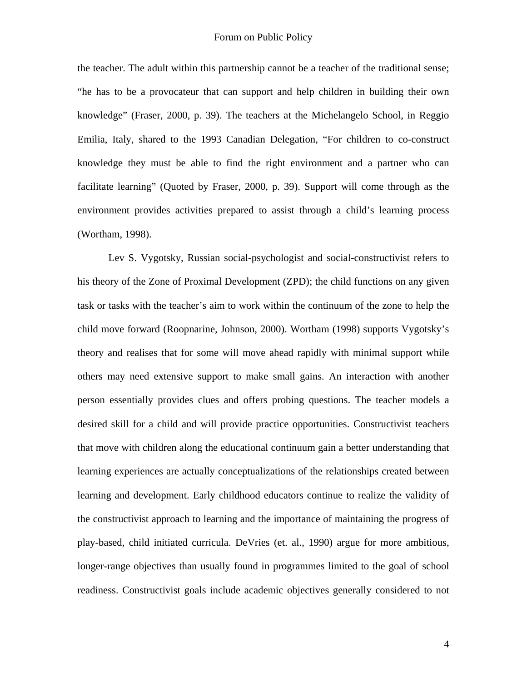the teacher. The adult within this partnership cannot be a teacher of the traditional sense; "he has to be a provocateur that can support and help children in building their own knowledge" (Fraser, 2000, p. 39). The teachers at the Michelangelo School, in Reggio Emilia, Italy, shared to the 1993 Canadian Delegation, "For children to co-construct knowledge they must be able to find the right environment and a partner who can facilitate learning" (Quoted by Fraser, 2000, p. 39). Support will come through as the environment provides activities prepared to assist through a child's learning process (Wortham, 1998).

Lev S. Vygotsky, Russian social-psychologist and social-constructivist refers to his theory of the Zone of Proximal Development (ZPD); the child functions on any given task or tasks with the teacher's aim to work within the continuum of the zone to help the child move forward (Roopnarine, Johnson, 2000). Wortham (1998) supports Vygotsky's theory and realises that for some will move ahead rapidly with minimal support while others may need extensive support to make small gains. An interaction with another person essentially provides clues and offers probing questions. The teacher models a desired skill for a child and will provide practice opportunities. Constructivist teachers that move with children along the educational continuum gain a better understanding that learning experiences are actually conceptualizations of the relationships created between learning and development. Early childhood educators continue to realize the validity of the constructivist approach to learning and the importance of maintaining the progress of play-based, child initiated curricula. DeVries (et. al., 1990) argue for more ambitious, longer-range objectives than usually found in programmes limited to the goal of school readiness. Constructivist goals include academic objectives generally considered to not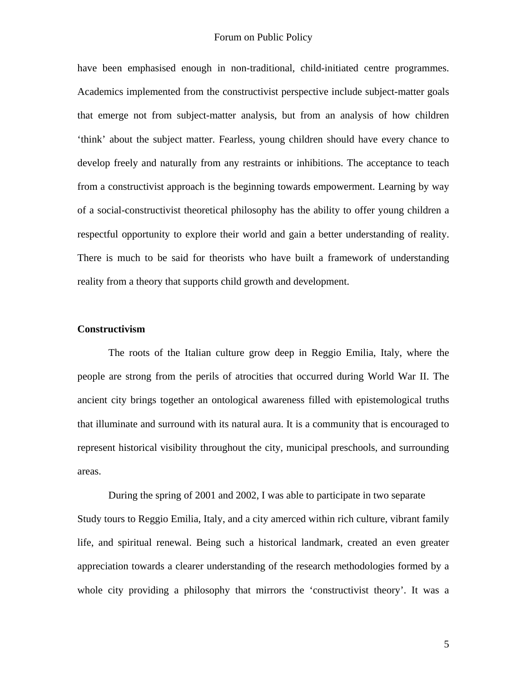have been emphasised enough in non-traditional, child-initiated centre programmes. Academics implemented from the constructivist perspective include subject-matter goals that emerge not from subject-matter analysis, but from an analysis of how children 'think' about the subject matter. Fearless, young children should have every chance to develop freely and naturally from any restraints or inhibitions. The acceptance to teach from a constructivist approach is the beginning towards empowerment. Learning by way of a social-constructivist theoretical philosophy has the ability to offer young children a respectful opportunity to explore their world and gain a better understanding of reality. There is much to be said for theorists who have built a framework of understanding reality from a theory that supports child growth and development.

## **Constructivism**

 The roots of the Italian culture grow deep in Reggio Emilia, Italy, where the people are strong from the perils of atrocities that occurred during World War II. The ancient city brings together an ontological awareness filled with epistemological truths that illuminate and surround with its natural aura. It is a community that is encouraged to represent historical visibility throughout the city, municipal preschools, and surrounding areas.

During the spring of 2001 and 2002, I was able to participate in two separate Study tours to Reggio Emilia, Italy, and a city amerced within rich culture, vibrant family life, and spiritual renewal. Being such a historical landmark, created an even greater appreciation towards a clearer understanding of the research methodologies formed by a whole city providing a philosophy that mirrors the 'constructivist theory'. It was a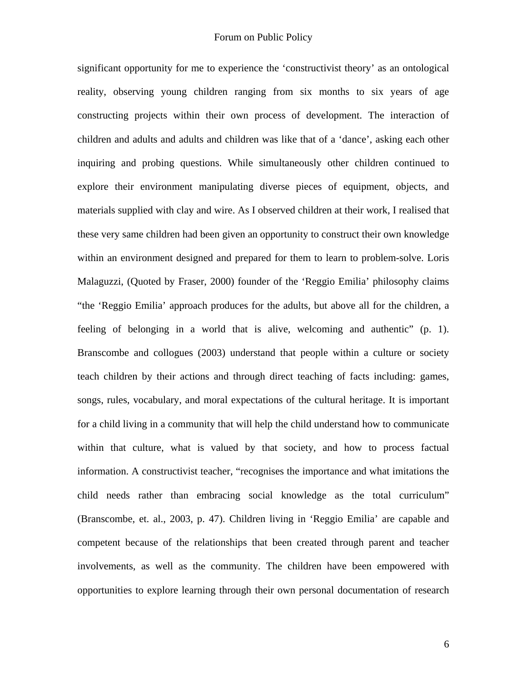significant opportunity for me to experience the 'constructivist theory' as an ontological reality, observing young children ranging from six months to six years of age constructing projects within their own process of development. The interaction of children and adults and adults and children was like that of a 'dance', asking each other inquiring and probing questions. While simultaneously other children continued to explore their environment manipulating diverse pieces of equipment, objects, and materials supplied with clay and wire. As I observed children at their work, I realised that these very same children had been given an opportunity to construct their own knowledge within an environment designed and prepared for them to learn to problem-solve. Loris Malaguzzi, (Quoted by Fraser, 2000) founder of the 'Reggio Emilia' philosophy claims "the 'Reggio Emilia' approach produces for the adults, but above all for the children, a feeling of belonging in a world that is alive, welcoming and authentic" (p. 1). Branscombe and collogues (2003) understand that people within a culture or society teach children by their actions and through direct teaching of facts including: games, songs, rules, vocabulary, and moral expectations of the cultural heritage. It is important for a child living in a community that will help the child understand how to communicate within that culture, what is valued by that society, and how to process factual information. A constructivist teacher, "recognises the importance and what imitations the child needs rather than embracing social knowledge as the total curriculum" (Branscombe, et. al., 2003, p. 47). Children living in 'Reggio Emilia' are capable and competent because of the relationships that been created through parent and teacher involvements, as well as the community. The children have been empowered with opportunities to explore learning through their own personal documentation of research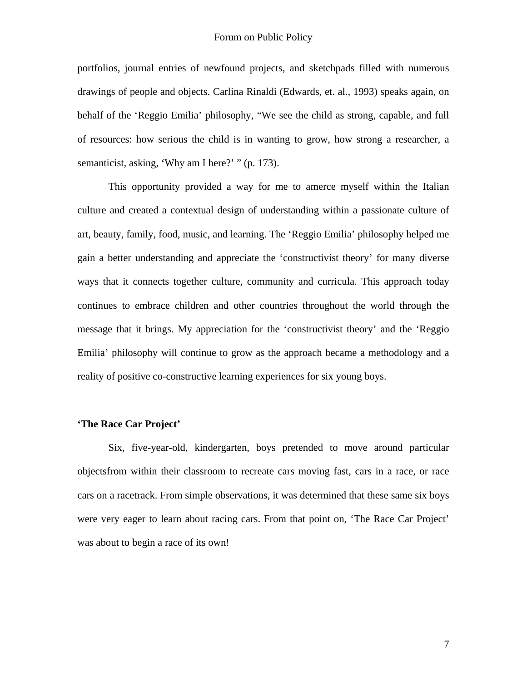portfolios, journal entries of newfound projects, and sketchpads filled with numerous drawings of people and objects. Carlina Rinaldi (Edwards, et. al., 1993) speaks again, on behalf of the 'Reggio Emilia' philosophy, "We see the child as strong, capable, and full of resources: how serious the child is in wanting to grow, how strong a researcher, a semanticist, asking, 'Why am I here?' " (p. 173).

This opportunity provided a way for me to amerce myself within the Italian culture and created a contextual design of understanding within a passionate culture of art, beauty, family, food, music, and learning. The 'Reggio Emilia' philosophy helped me gain a better understanding and appreciate the 'constructivist theory' for many diverse ways that it connects together culture, community and curricula. This approach today continues to embrace children and other countries throughout the world through the message that it brings. My appreciation for the 'constructivist theory' and the 'Reggio Emilia' philosophy will continue to grow as the approach became a methodology and a reality of positive co-constructive learning experiences for six young boys.

# **'The Race Car Project'**

 Six, five-year-old, kindergarten, boys pretended to move around particular objectsfrom within their classroom to recreate cars moving fast, cars in a race, or race cars on a racetrack. From simple observations, it was determined that these same six boys were very eager to learn about racing cars. From that point on, 'The Race Car Project' was about to begin a race of its own!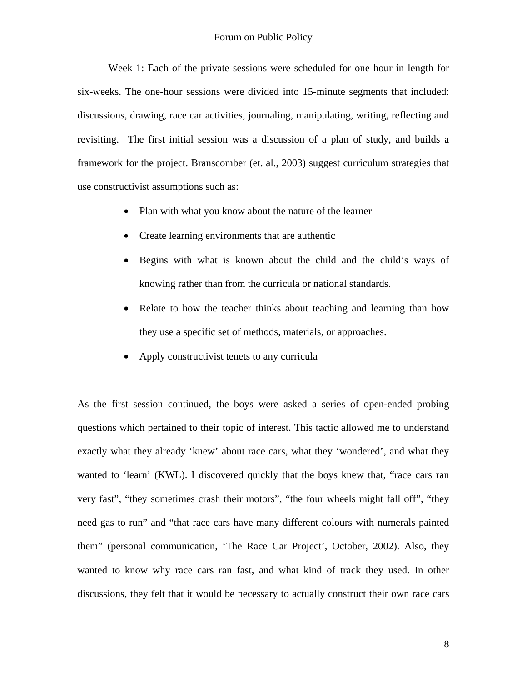#### Forum on Public Policy

 Week 1: Each of the private sessions were scheduled for one hour in length for six-weeks. The one-hour sessions were divided into 15-minute segments that included: discussions, drawing, race car activities, journaling, manipulating, writing, reflecting and revisiting. The first initial session was a discussion of a plan of study, and builds a framework for the project. Branscomber (et. al., 2003) suggest curriculum strategies that use constructivist assumptions such as:

- Plan with what you know about the nature of the learner
- Create learning environments that are authentic
- Begins with what is known about the child and the child's ways of knowing rather than from the curricula or national standards.
- Relate to how the teacher thinks about teaching and learning than how they use a specific set of methods, materials, or approaches.
- Apply constructivist tenets to any curricula

As the first session continued, the boys were asked a series of open-ended probing questions which pertained to their topic of interest. This tactic allowed me to understand exactly what they already 'knew' about race cars, what they 'wondered', and what they wanted to 'learn' (KWL). I discovered quickly that the boys knew that, "race cars ran very fast", "they sometimes crash their motors", "the four wheels might fall off", "they need gas to run" and "that race cars have many different colours with numerals painted them" (personal communication, 'The Race Car Project', October, 2002). Also, they wanted to know why race cars ran fast, and what kind of track they used. In other discussions, they felt that it would be necessary to actually construct their own race cars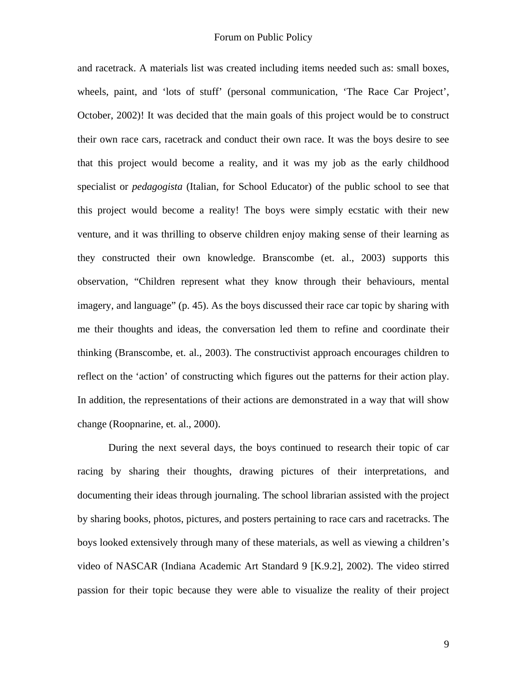and racetrack. A materials list was created including items needed such as: small boxes, wheels, paint, and 'lots of stuff' (personal communication, 'The Race Car Project', October, 2002)! It was decided that the main goals of this project would be to construct their own race cars, racetrack and conduct their own race. It was the boys desire to see that this project would become a reality, and it was my job as the early childhood specialist or *pedagogista* (Italian, for School Educator) of the public school to see that this project would become a reality! The boys were simply ecstatic with their new venture, and it was thrilling to observe children enjoy making sense of their learning as they constructed their own knowledge. Branscombe (et. al., 2003) supports this observation, "Children represent what they know through their behaviours, mental imagery, and language" (p. 45). As the boys discussed their race car topic by sharing with me their thoughts and ideas, the conversation led them to refine and coordinate their thinking (Branscombe, et. al., 2003). The constructivist approach encourages children to reflect on the 'action' of constructing which figures out the patterns for their action play. In addition, the representations of their actions are demonstrated in a way that will show change (Roopnarine, et. al., 2000).

During the next several days, the boys continued to research their topic of car racing by sharing their thoughts, drawing pictures of their interpretations, and documenting their ideas through journaling. The school librarian assisted with the project by sharing books, photos, pictures, and posters pertaining to race cars and racetracks. The boys looked extensively through many of these materials, as well as viewing a children's video of NASCAR (Indiana Academic Art Standard 9 [K.9.2], 2002). The video stirred passion for their topic because they were able to visualize the reality of their project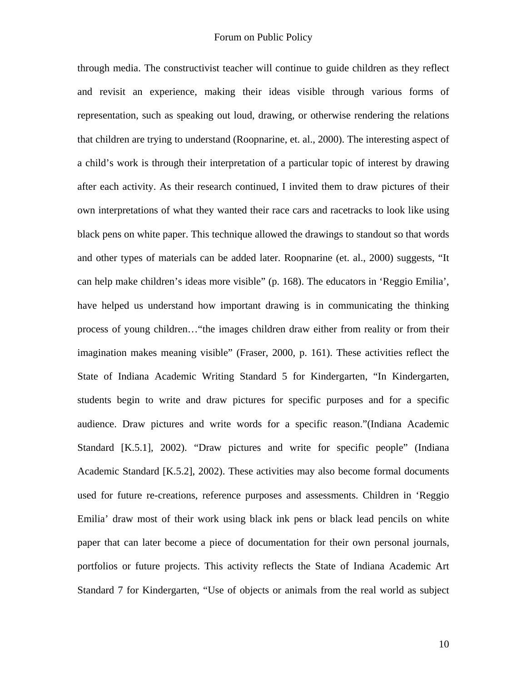through media. The constructivist teacher will continue to guide children as they reflect and revisit an experience, making their ideas visible through various forms of representation, such as speaking out loud, drawing, or otherwise rendering the relations that children are trying to understand (Roopnarine, et. al., 2000). The interesting aspect of a child's work is through their interpretation of a particular topic of interest by drawing after each activity. As their research continued, I invited them to draw pictures of their own interpretations of what they wanted their race cars and racetracks to look like using black pens on white paper. This technique allowed the drawings to standout so that words and other types of materials can be added later. Roopnarine (et. al., 2000) suggests, "It can help make children's ideas more visible" (p. 168). The educators in 'Reggio Emilia', have helped us understand how important drawing is in communicating the thinking process of young children…"the images children draw either from reality or from their imagination makes meaning visible" (Fraser, 2000, p. 161). These activities reflect the State of Indiana Academic Writing Standard 5 for Kindergarten, "In Kindergarten, students begin to write and draw pictures for specific purposes and for a specific audience. Draw pictures and write words for a specific reason."(Indiana Academic Standard [K.5.1], 2002). "Draw pictures and write for specific people" (Indiana Academic Standard [K.5.2], 2002). These activities may also become formal documents used for future re-creations, reference purposes and assessments. Children in 'Reggio Emilia' draw most of their work using black ink pens or black lead pencils on white paper that can later become a piece of documentation for their own personal journals, portfolios or future projects. This activity reflects the State of Indiana Academic Art Standard 7 for Kindergarten, "Use of objects or animals from the real world as subject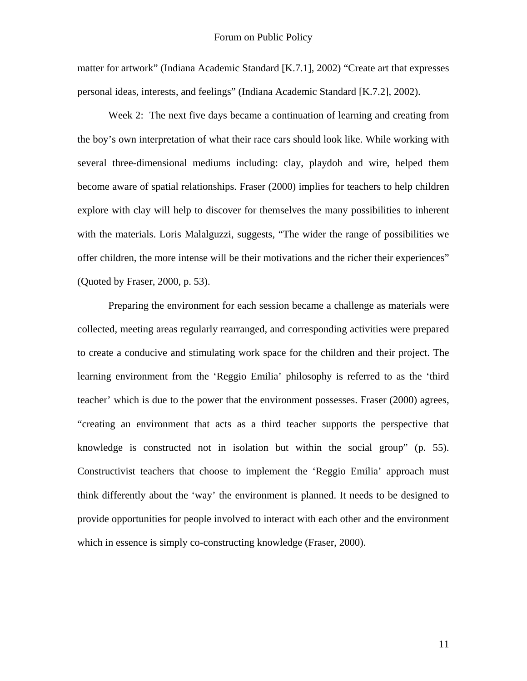matter for artwork" (Indiana Academic Standard [K.7.1], 2002) "Create art that expresses personal ideas, interests, and feelings" (Indiana Academic Standard [K.7.2], 2002).

Week 2: The next five days became a continuation of learning and creating from the boy's own interpretation of what their race cars should look like. While working with several three-dimensional mediums including: clay, playdoh and wire, helped them become aware of spatial relationships. Fraser (2000) implies for teachers to help children explore with clay will help to discover for themselves the many possibilities to inherent with the materials. Loris Malalguzzi, suggests, "The wider the range of possibilities we offer children, the more intense will be their motivations and the richer their experiences" (Quoted by Fraser, 2000, p. 53).

Preparing the environment for each session became a challenge as materials were collected, meeting areas regularly rearranged, and corresponding activities were prepared to create a conducive and stimulating work space for the children and their project. The learning environment from the 'Reggio Emilia' philosophy is referred to as the 'third teacher' which is due to the power that the environment possesses. Fraser (2000) agrees, "creating an environment that acts as a third teacher supports the perspective that knowledge is constructed not in isolation but within the social group" (p. 55). Constructivist teachers that choose to implement the 'Reggio Emilia' approach must think differently about the 'way' the environment is planned. It needs to be designed to provide opportunities for people involved to interact with each other and the environment which in essence is simply co-constructing knowledge (Fraser, 2000).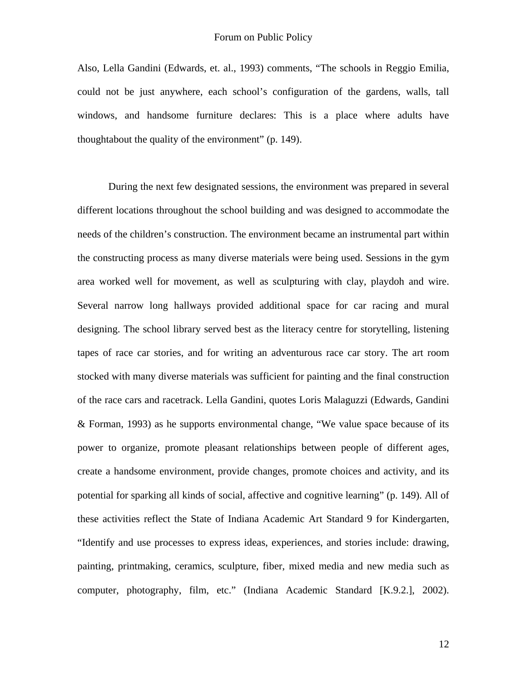Also, Lella Gandini (Edwards, et. al., 1993) comments, "The schools in Reggio Emilia, could not be just anywhere, each school's configuration of the gardens, walls, tall windows, and handsome furniture declares: This is a place where adults have thoughtabout the quality of the environment" (p. 149).

 During the next few designated sessions, the environment was prepared in several different locations throughout the school building and was designed to accommodate the needs of the children's construction. The environment became an instrumental part within the constructing process as many diverse materials were being used. Sessions in the gym area worked well for movement, as well as sculpturing with clay, playdoh and wire. Several narrow long hallways provided additional space for car racing and mural designing. The school library served best as the literacy centre for storytelling, listening tapes of race car stories, and for writing an adventurous race car story. The art room stocked with many diverse materials was sufficient for painting and the final construction of the race cars and racetrack. Lella Gandini, quotes Loris Malaguzzi (Edwards, Gandini & Forman, 1993) as he supports environmental change, "We value space because of its power to organize, promote pleasant relationships between people of different ages, create a handsome environment, provide changes, promote choices and activity, and its potential for sparking all kinds of social, affective and cognitive learning" (p. 149). All of these activities reflect the State of Indiana Academic Art Standard 9 for Kindergarten, "Identify and use processes to express ideas, experiences, and stories include: drawing, painting, printmaking, ceramics, sculpture, fiber, mixed media and new media such as computer, photography, film, etc." (Indiana Academic Standard [K.9.2.], 2002).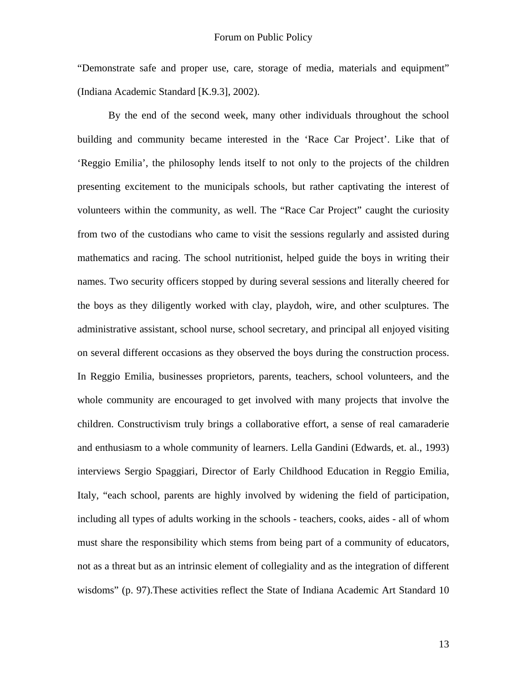"Demonstrate safe and proper use, care, storage of media, materials and equipment" (Indiana Academic Standard [K.9.3], 2002).

By the end of the second week, many other individuals throughout the school building and community became interested in the 'Race Car Project'. Like that of 'Reggio Emilia', the philosophy lends itself to not only to the projects of the children presenting excitement to the municipals schools, but rather captivating the interest of volunteers within the community, as well. The "Race Car Project" caught the curiosity from two of the custodians who came to visit the sessions regularly and assisted during mathematics and racing. The school nutritionist, helped guide the boys in writing their names. Two security officers stopped by during several sessions and literally cheered for the boys as they diligently worked with clay, playdoh, wire, and other sculptures. The administrative assistant, school nurse, school secretary, and principal all enjoyed visiting on several different occasions as they observed the boys during the construction process. In Reggio Emilia, businesses proprietors, parents, teachers, school volunteers, and the whole community are encouraged to get involved with many projects that involve the children. Constructivism truly brings a collaborative effort, a sense of real camaraderie and enthusiasm to a whole community of learners. Lella Gandini (Edwards, et. al., 1993) interviews Sergio Spaggiari, Director of Early Childhood Education in Reggio Emilia, Italy, "each school, parents are highly involved by widening the field of participation, including all types of adults working in the schools - teachers, cooks, aides - all of whom must share the responsibility which stems from being part of a community of educators, not as a threat but as an intrinsic element of collegiality and as the integration of different wisdoms" (p. 97).These activities reflect the State of Indiana Academic Art Standard 10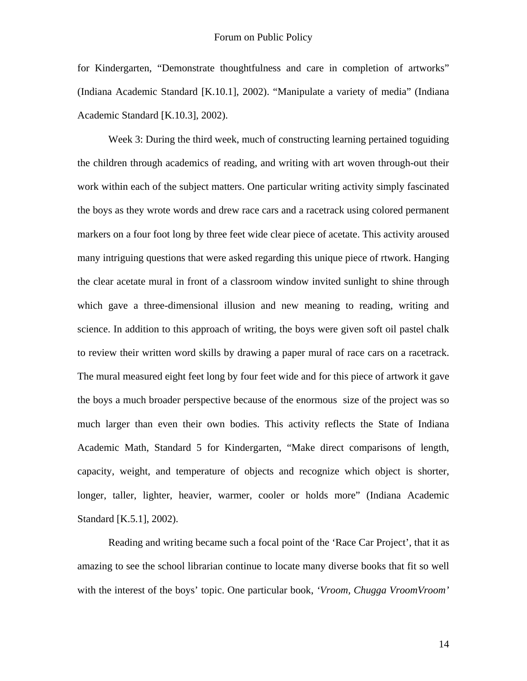for Kindergarten, "Demonstrate thoughtfulness and care in completion of artworks" (Indiana Academic Standard [K.10.1], 2002). "Manipulate a variety of media" (Indiana Academic Standard [K.10.3], 2002).

Week 3: During the third week, much of constructing learning pertained toguiding the children through academics of reading, and writing with art woven through-out their work within each of the subject matters. One particular writing activity simply fascinated the boys as they wrote words and drew race cars and a racetrack using colored permanent markers on a four foot long by three feet wide clear piece of acetate. This activity aroused many intriguing questions that were asked regarding this unique piece of rtwork. Hanging the clear acetate mural in front of a classroom window invited sunlight to shine through which gave a three-dimensional illusion and new meaning to reading, writing and science. In addition to this approach of writing, the boys were given soft oil pastel chalk to review their written word skills by drawing a paper mural of race cars on a racetrack. The mural measured eight feet long by four feet wide and for this piece of artwork it gave the boys a much broader perspective because of the enormous size of the project was so much larger than even their own bodies. This activity reflects the State of Indiana Academic Math, Standard 5 for Kindergarten, "Make direct comparisons of length, capacity, weight, and temperature of objects and recognize which object is shorter, longer, taller, lighter, heavier, warmer, cooler or holds more" (Indiana Academic Standard [K.5.1], 2002).

Reading and writing became such a focal point of the 'Race Car Project', that it as amazing to see the school librarian continue to locate many diverse books that fit so well with the interest of the boys' topic. One particular book, *'Vroom, Chugga VroomVroom'*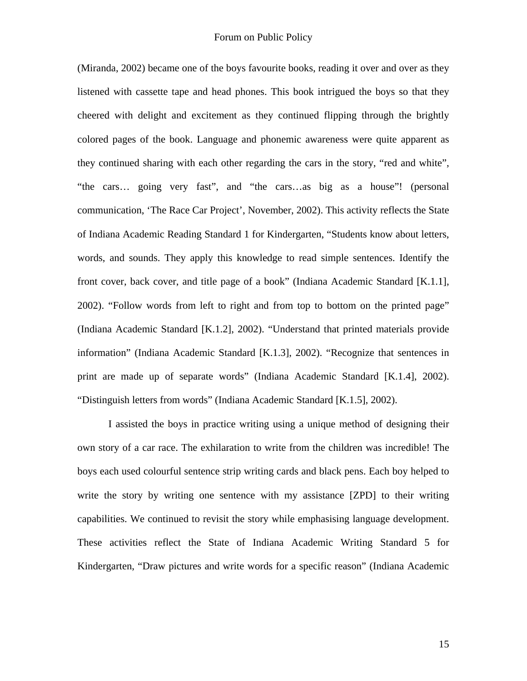(Miranda, 2002) became one of the boys favourite books, reading it over and over as they listened with cassette tape and head phones. This book intrigued the boys so that they cheered with delight and excitement as they continued flipping through the brightly colored pages of the book. Language and phonemic awareness were quite apparent as they continued sharing with each other regarding the cars in the story, "red and white", "the cars… going very fast", and "the cars…as big as a house"! (personal communication, 'The Race Car Project', November, 2002). This activity reflects the State of Indiana Academic Reading Standard 1 for Kindergarten, "Students know about letters, words, and sounds. They apply this knowledge to read simple sentences. Identify the front cover, back cover, and title page of a book" (Indiana Academic Standard [K.1.1], 2002). "Follow words from left to right and from top to bottom on the printed page" (Indiana Academic Standard [K.1.2], 2002). "Understand that printed materials provide information" (Indiana Academic Standard [K.1.3], 2002). "Recognize that sentences in print are made up of separate words" (Indiana Academic Standard [K.1.4], 2002). "Distinguish letters from words" (Indiana Academic Standard [K.1.5], 2002).

I assisted the boys in practice writing using a unique method of designing their own story of a car race. The exhilaration to write from the children was incredible! The boys each used colourful sentence strip writing cards and black pens. Each boy helped to write the story by writing one sentence with my assistance [ZPD] to their writing capabilities. We continued to revisit the story while emphasising language development. These activities reflect the State of Indiana Academic Writing Standard 5 for Kindergarten, "Draw pictures and write words for a specific reason" (Indiana Academic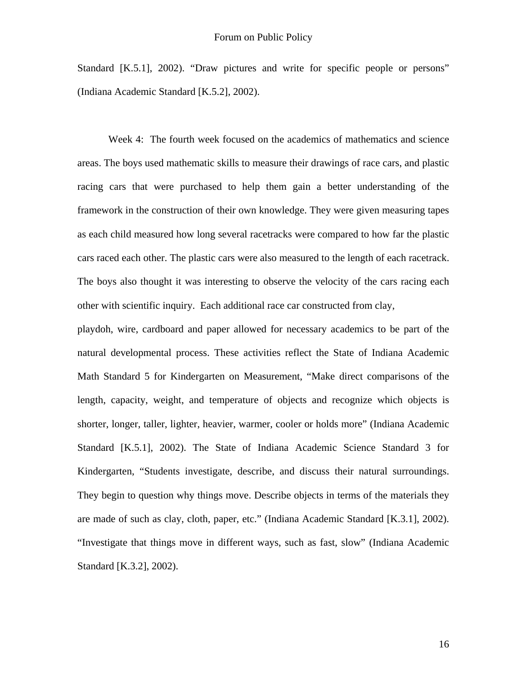Standard [K.5.1], 2002). "Draw pictures and write for specific people or persons" (Indiana Academic Standard [K.5.2], 2002).

 Week 4: The fourth week focused on the academics of mathematics and science areas. The boys used mathematic skills to measure their drawings of race cars, and plastic racing cars that were purchased to help them gain a better understanding of the framework in the construction of their own knowledge. They were given measuring tapes as each child measured how long several racetracks were compared to how far the plastic cars raced each other. The plastic cars were also measured to the length of each racetrack. The boys also thought it was interesting to observe the velocity of the cars racing each other with scientific inquiry. Each additional race car constructed from clay,

playdoh, wire, cardboard and paper allowed for necessary academics to be part of the natural developmental process. These activities reflect the State of Indiana Academic Math Standard 5 for Kindergarten on Measurement, "Make direct comparisons of the length, capacity, weight, and temperature of objects and recognize which objects is shorter, longer, taller, lighter, heavier, warmer, cooler or holds more" (Indiana Academic Standard [K.5.1], 2002). The State of Indiana Academic Science Standard 3 for Kindergarten, "Students investigate, describe, and discuss their natural surroundings. They begin to question why things move. Describe objects in terms of the materials they are made of such as clay, cloth, paper, etc." (Indiana Academic Standard [K.3.1], 2002). "Investigate that things move in different ways, such as fast, slow" (Indiana Academic Standard [K.3.2], 2002).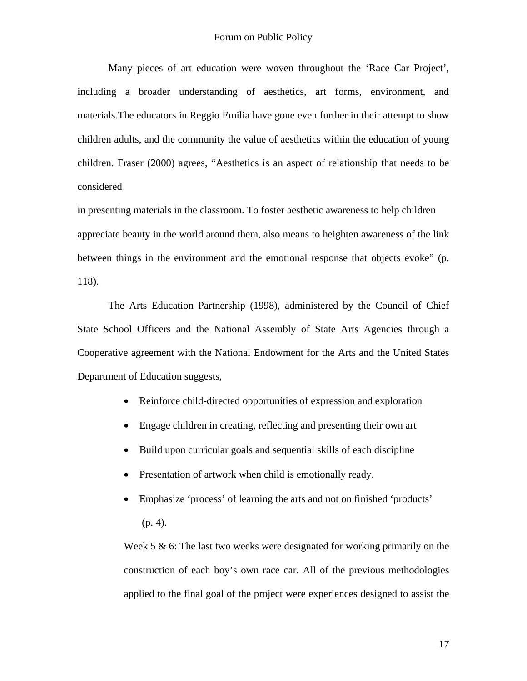### Forum on Public Policy

 Many pieces of art education were woven throughout the 'Race Car Project', including a broader understanding of aesthetics, art forms, environment, and materials.The educators in Reggio Emilia have gone even further in their attempt to show children adults, and the community the value of aesthetics within the education of young children. Fraser (2000) agrees, "Aesthetics is an aspect of relationship that needs to be considered

in presenting materials in the classroom. To foster aesthetic awareness to help children appreciate beauty in the world around them, also means to heighten awareness of the link between things in the environment and the emotional response that objects evoke" (p. 118).

The Arts Education Partnership (1998), administered by the Council of Chief State School Officers and the National Assembly of State Arts Agencies through a Cooperative agreement with the National Endowment for the Arts and the United States Department of Education suggests,

- Reinforce child-directed opportunities of expression and exploration
- Engage children in creating, reflecting and presenting their own art
- Build upon curricular goals and sequential skills of each discipline
- Presentation of artwork when child is emotionally ready.
- Emphasize 'process' of learning the arts and not on finished 'products' (p. 4).

Week 5  $\&$  6: The last two weeks were designated for working primarily on the construction of each boy's own race car. All of the previous methodologies applied to the final goal of the project were experiences designed to assist the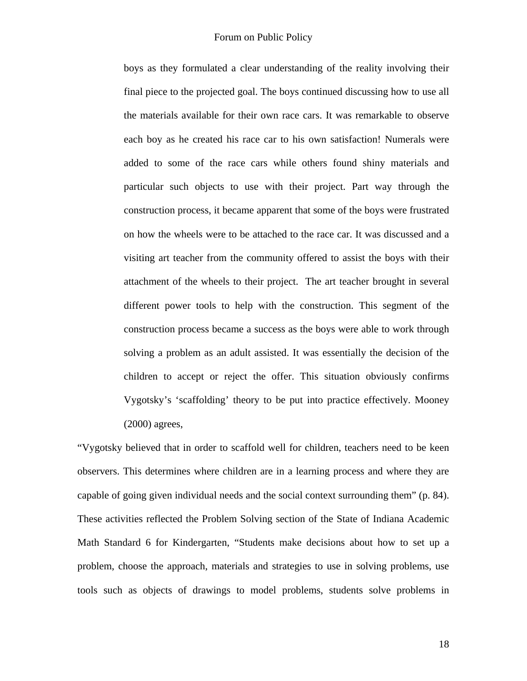boys as they formulated a clear understanding of the reality involving their final piece to the projected goal. The boys continued discussing how to use all the materials available for their own race cars. It was remarkable to observe each boy as he created his race car to his own satisfaction! Numerals were added to some of the race cars while others found shiny materials and particular such objects to use with their project. Part way through the construction process, it became apparent that some of the boys were frustrated on how the wheels were to be attached to the race car. It was discussed and a visiting art teacher from the community offered to assist the boys with their attachment of the wheels to their project. The art teacher brought in several different power tools to help with the construction. This segment of the construction process became a success as the boys were able to work through solving a problem as an adult assisted. It was essentially the decision of the children to accept or reject the offer. This situation obviously confirms Vygotsky's 'scaffolding' theory to be put into practice effectively. Mooney (2000) agrees,

"Vygotsky believed that in order to scaffold well for children, teachers need to be keen observers. This determines where children are in a learning process and where they are capable of going given individual needs and the social context surrounding them" (p. 84). These activities reflected the Problem Solving section of the State of Indiana Academic Math Standard 6 for Kindergarten, "Students make decisions about how to set up a problem, choose the approach, materials and strategies to use in solving problems, use tools such as objects of drawings to model problems, students solve problems in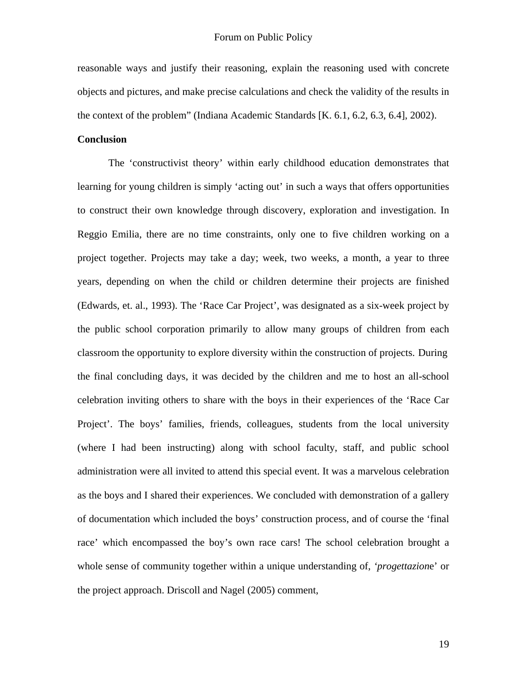reasonable ways and justify their reasoning, explain the reasoning used with concrete objects and pictures, and make precise calculations and check the validity of the results in the context of the problem" (Indiana Academic Standards [K. 6.1, 6.2, 6.3, 6.4], 2002).

# **Conclusion**

 The 'constructivist theory' within early childhood education demonstrates that learning for young children is simply 'acting out' in such a ways that offers opportunities to construct their own knowledge through discovery, exploration and investigation. In Reggio Emilia, there are no time constraints, only one to five children working on a project together. Projects may take a day; week, two weeks, a month, a year to three years, depending on when the child or children determine their projects are finished (Edwards, et. al., 1993). The 'Race Car Project', was designated as a six-week project by the public school corporation primarily to allow many groups of children from each classroom the opportunity to explore diversity within the construction of projects. During the final concluding days, it was decided by the children and me to host an all-school celebration inviting others to share with the boys in their experiences of the 'Race Car Project'. The boys' families, friends, colleagues, students from the local university (where I had been instructing) along with school faculty, staff, and public school administration were all invited to attend this special event. It was a marvelous celebration as the boys and I shared their experiences. We concluded with demonstration of a gallery of documentation which included the boys' construction process, and of course the 'final race' which encompassed the boy's own race cars! The school celebration brought a whole sense of community together within a unique understanding of, *'progettazion*e' or the project approach. Driscoll and Nagel (2005) comment,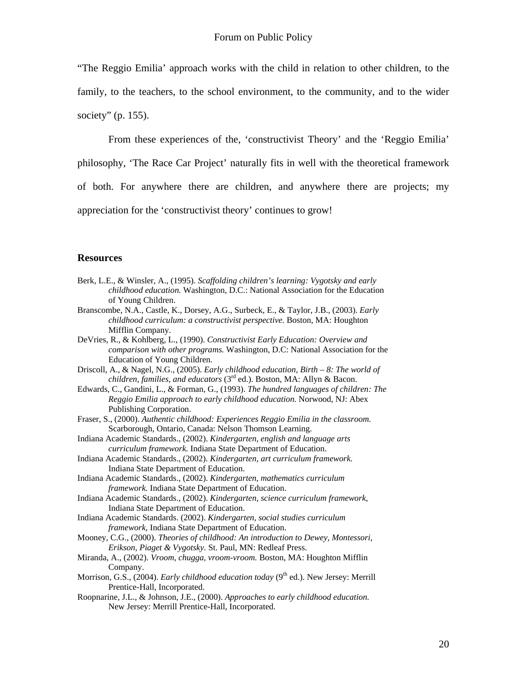"The Reggio Emilia' approach works with the child in relation to other children, to the family, to the teachers, to the school environment, to the community, and to the wider society" (p. 155).

From these experiences of the, 'constructivist Theory' and the 'Reggio Emilia' philosophy, 'The Race Car Project' naturally fits in well with the theoretical framework of both. For anywhere there are children, and anywhere there are projects; my appreciation for the 'constructivist theory' continues to grow!

#### **Resources**

- Berk, L.E., & Winsler, A., (1995). *Scaffolding children's learning: Vygotsky and early childhood education.* Washington, D.C.: National Association for the Education of Young Children.
- Branscombe, N.A., Castle, K., Dorsey, A.G., Surbeck, E., & Taylor, J.B., (2003). *Early childhood curriculum: a constructivist perspective.* Boston, MA: Houghton Mifflin Company.
- DeVries, R., & Kohlberg, L., (1990). *Constructivist Early Education: Overview and comparison with other programs.* Washington, D.C: National Association for the Education of Young Children.
- Driscoll, A., & Nagel, N.G., (2005). *Early childhood education, Birth 8: The world of children, families, and educators* (3<sup>rd</sup> ed.). Boston, MA: Allyn & Bacon.
- Edwards, C., Gandini, L., & Forman, G., (1993). *The hundred languages of children: The Reggio Emilia approach to early childhood education.* Norwood, NJ: Abex Publishing Corporation.
- Fraser, S., (2000). *Authentic childhood: Experiences Reggio Emilia in the classroom.*  Scarborough, Ontario, Canada: Nelson Thomson Learning.
- Indiana Academic Standards., (2002). *Kindergarten, english and language arts curriculum framework.* Indiana State Department of Education.
- Indiana Academic Standards., (2002). *Kindergarten, art curriculum framework.*  Indiana State Department of Education.
- Indiana Academic Standards., (2002). *Kindergarten, mathematics curriculum framework.* Indiana State Department of Education.
- Indiana Academic Standards., (2002). *Kindergarten, science curriculum framework,*  Indiana State Department of Education.
- Indiana Academic Standards. (2002). *Kindergarten, social studies curriculum framework,* Indiana State Department of Education.
- Mooney, C.G., (2000). *Theories of childhood: An introduction to Dewey, Montessori, Erikson, Piaget & Vygotsky.* St. Paul, MN: Redleaf Press.
- Miranda, A., (2002). *Vroom, chugga, vroom-vroom.* Boston, MA: Houghton Mifflin Company.
- Morrison, G.S., (2004). *Early childhood education today* (9<sup>th</sup> ed.). New Jersey: Merrill Prentice-Hall, Incorporated.
- Roopnarine, J.L., & Johnson, J.E., (2000). *Approaches to early childhood education.* New Jersey: Merrill Prentice-Hall, Incorporated.